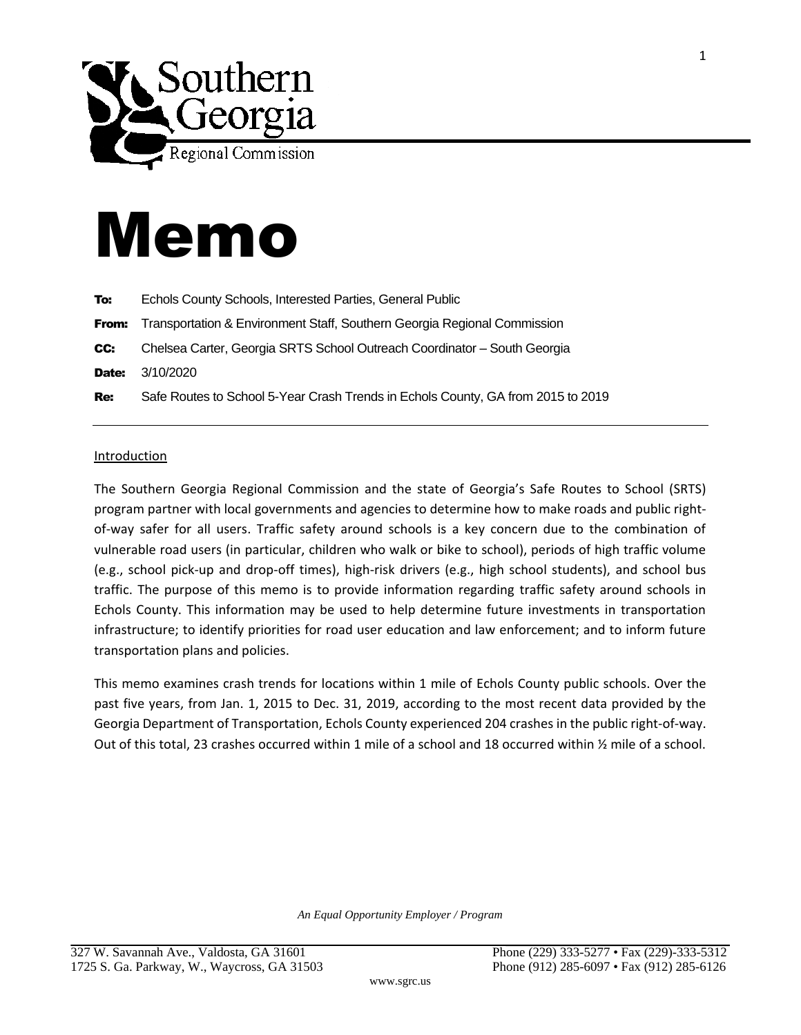

## Memo

| To:        | Echols County Schools, Interested Parties, General Public                        |
|------------|----------------------------------------------------------------------------------|
| From:      | Transportation & Environment Staff, Southern Georgia Regional Commission         |
| CC:        | Chelsea Carter, Georgia SRTS School Outreach Coordinator - South Georgia         |
| Date:      | 3/10/2020                                                                        |
| <b>Re:</b> | Safe Routes to School 5-Year Crash Trends in Echols County, GA from 2015 to 2019 |
|            |                                                                                  |

## Introduction

The Southern Georgia Regional Commission and the state of Georgia's Safe Routes to School (SRTS) program partner with local governments and agencies to determine how to make roads and public rightof-way safer for all users. Traffic safety around schools is a key concern due to the combination of vulnerable road users (in particular, children who walk or bike to school), periods of high traffic volume (e.g., school pick-up and drop-off times), high-risk drivers (e.g., high school students), and school bus traffic. The purpose of this memo is to provide information regarding traffic safety around schools in Echols County. This information may be used to help determine future investments in transportation infrastructure; to identify priorities for road user education and law enforcement; and to inform future transportation plans and policies.

This memo examines crash trends for locations within 1 mile of Echols County public schools. Over the past five years, from Jan. 1, 2015 to Dec. 31, 2019, according to the most recent data provided by the Georgia Department of Transportation, Echols County experienced 204 crashes in the public right-of-way. Out of this total, 23 crashes occurred within 1 mile of a school and 18 occurred within ½ mile of a school.

*An Equal Opportunity Employer / Program*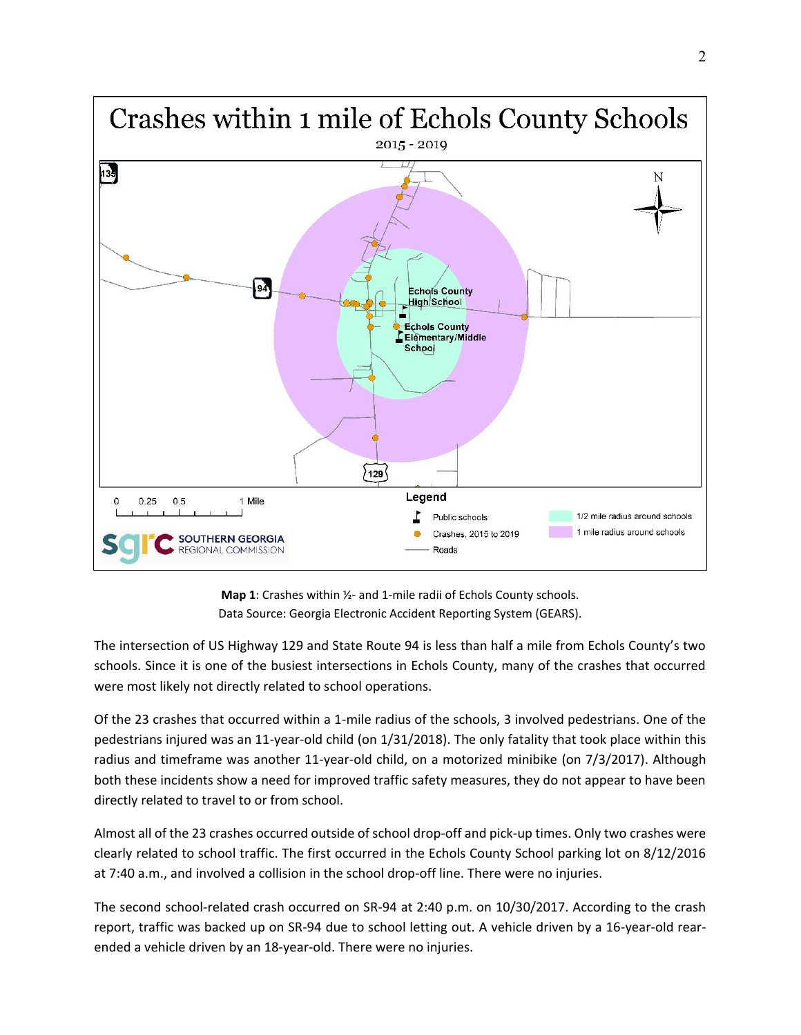

**Map 1**: Crashes within ½- and 1-mile radii of Echols County schools. Data Source: Georgia Electronic Accident Reporting System (GEARS).

The intersection of US Highway 129 and State Route 94 is less than half a mile from Echols County's two schools. Since it is one of the busiest intersections in Echols County, many of the crashes that occurred were most likely not directly related to school operations.

Of the 23 crashes that occurred within a 1-mile radius of the schools, 3 involved pedestrians. One of the pedestrians injured was an 11-year-old child (on 1/31/2018). The only fatality that took place within this radius and timeframe was another 11-year-old child, on a motorized minibike (on 7/3/2017). Although both these incidents show a need for improved traffic safety measures, they do not appear to have been directly related to travel to or from school.

Almost all of the 23 crashes occurred outside of school drop-off and pick-up times. Only two crashes were clearly related to school traffic. The first occurred in the Echols County School parking lot on 8/12/2016 at 7:40 a.m., and involved a collision in the school drop-off line. There were no injuries.

The second school-related crash occurred on SR-94 at 2:40 p.m. on 10/30/2017. According to the crash report, traffic was backed up on SR-94 due to school letting out. A vehicle driven by a 16-year-old rearended a vehicle driven by an 18-year-old. There were no injuries.